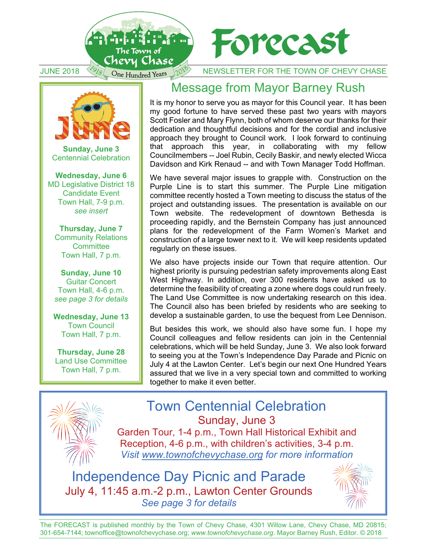



JUNE 2018 1978 One Hundred Years 12018 NEWSLETTER FOR THE TOWN OF CHEVY CHASE



**Sunday, June 3** Centennial Celebration

**Wednesday, June 6** MD Legislative District 18 Candidate Event Town Hall, 7-9 p.m. *see insert* 

**Thursday, June 7** Community Relations **Committee** Town Hall, 7 p.m.

**Sunday, June 10**  Guitar Concert Town Hall, 4-6 p.m. *see page 3 for details* 

**Wednesday, June 13**  Town Council Town Hall, 7 p.m.

**Thursday, June 28**  Land Use Committee Town Hall, 7 p.m.

## Message from Mayor Barney Rush

It is my honor to serve you as mayor for this Council year. It has been my good fortune to have served these past two years with mayors Scott Fosler and Mary Flynn, both of whom deserve our thanks for their dedication and thoughtful decisions and for the cordial and inclusive approach they brought to Council work. I look forward to continuing that approach this year, in collaborating with my fellow Councilmembers -- Joel Rubin, Cecily Baskir, and newly elected Wicca Davidson and Kirk Renaud -- and with Town Manager Todd Hoffman.

We have several major issues to grapple with. Construction on the Purple Line is to start this summer. The Purple Line mitigation committee recently hosted a Town meeting to discuss the status of the project and outstanding issues. The presentation is available on our Town website. The redevelopment of downtown Bethesda is proceeding rapidly, and the Bernstein Company has just announced plans for the redevelopment of the Farm Women's Market and construction of a large tower next to it. We will keep residents updated regularly on these issues.

We also have projects inside our Town that require attention. Our highest priority is pursuing pedestrian safety improvements along East West Highway. In addition, over 300 residents have asked us to determine the feasibility of creating a zone where dogs could run freely. The Land Use Committee is now undertaking research on this idea. The Council also has been briefed by residents who are seeking to develop a sustainable garden, to use the bequest from Lee Dennison.

But besides this work, we should also have some fun. I hope my Council colleagues and fellow residents can join in the Centennial celebrations, which will be held Sunday, June 3. We also look forward to seeing you at the Town's Independence Day Parade and Picnic on July 4 at the Lawton Center. Let's begin our next One Hundred Years assured that we live in a very special town and committed to working together to make it even better.



Town Centennial Celebration Sunday, June 3 Garden Tour, 1-4 p.m., Town Hall Historical Exhibit and

Reception, 4-6 p.m., with children's activities, 3-4 p.m. *Visit www.townofchevychase.org for more information* 

Independence Day Picnic and Parade July 4, 11:45 a.m.-2 p.m., Lawton Center Grounds *See page 3 for details*



The FORECAST is published monthly by the Town of Chevy Chase, 4301 Willow Lane, Chevy Chase, MD 20815; 301-654-7144; townoffice@townofchevychase.org; *www.townofchevychase.org*. Mayor Barney Rush, Editor. © 2018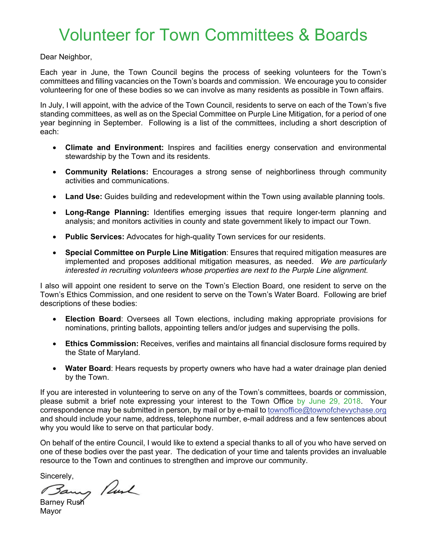## Volunteer for Town Committees & Boards

Dear Neighbor,

Each year in June, the Town Council begins the process of seeking volunteers for the Town's committees and filling vacancies on the Town's boards and commission. We encourage you to consider volunteering for one of these bodies so we can involve as many residents as possible in Town affairs.

In July, I will appoint, with the advice of the Town Council, residents to serve on each of the Town's five standing committees, as well as on the Special Committee on Purple Line Mitigation, for a period of one year beginning in September. Following is a list of the committees, including a short description of each:

- **Climate and Environment:** Inspires and facilities energy conservation and environmental stewardship by the Town and its residents.
- **Community Relations:** Encourages a strong sense of neighborliness through community activities and communications.
- **Land Use:** Guides building and redevelopment within the Town using available planning tools.
- **Long-Range Planning:** Identifies emerging issues that require longer-term planning and analysis; and monitors activities in county and state government likely to impact our Town.
- **Public Services:** Advocates for high-quality Town services for our residents.
- **Special Committee on Purple Line Mitigation**: Ensures that required mitigation measures are implemented and proposes additional mitigation measures, as needed. *We are particularly interested in recruiting volunteers whose properties are next to the Purple Line alignment.*

I also will appoint one resident to serve on the Town's Election Board, one resident to serve on the Town's Ethics Commission, and one resident to serve on the Town's Water Board. Following are brief descriptions of these bodies:

- **Election Board**: Oversees all Town elections, including making appropriate provisions for nominations, printing ballots, appointing tellers and/or judges and supervising the polls.
- **Ethics Commission:** Receives, verifies and maintains all financial disclosure forms required by the State of Maryland.
- **Water Board**: Hears requests by property owners who have had a water drainage plan denied by the Town.

If you are interested in volunteering to serve on any of the Town's committees, boards or commission, please submit a brief note expressing your interest to the Town Office by June 29, 2018. Your correspondence may be submitted in person, by mail or by e-mail to townoffice@townofchevychase.org and should include your name, address, telephone number, e-mail address and a few sentences about why you would like to serve on that particular body.

On behalf of the entire Council, I would like to extend a special thanks to all of you who have served on one of these bodies over the past year. The dedication of your time and talents provides an invaluable resource to the Town and continues to strengthen and improve our community.

Sincerely,

Barney Punk

**Mayor**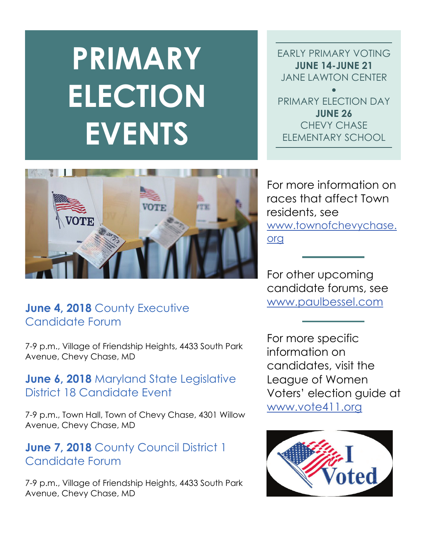# **PRIMARY ELECTION EVENTS**

EARLY PRIMARY VOTING **JUNE 14-JUNE 21**  JANE LAWTON CENTER • PRIMARY ELECTION DAY **JUNE 26**  CHEVY CHASE

ELEMENTARY SCHOOL



## **June 4, 2018** County Executive Candidate Forum

7-9 p.m., Village of Friendship Heights, 4433 South Park Avenue, Chevy Chase, MD

### **June 6, 2018** Maryland State Legislative District 18 Candidate Event

7-9 p.m., Town Hall, Town of Chevy Chase, 4301 Willow Avenue, Chevy Chase, MD

## **June 7, 2018** County Council District 1 Candidate Forum

7-9 p.m., Village of Friendship Heights, 4433 South Park Avenue, Chevy Chase, MD

For more information on races that affect Town residents, see www.townofchevychase. org

For other upcoming candidate forums, see www.paulbessel.com

For more specific information on candidates, visit the League of Women Voters' election guide at www.vote411.org

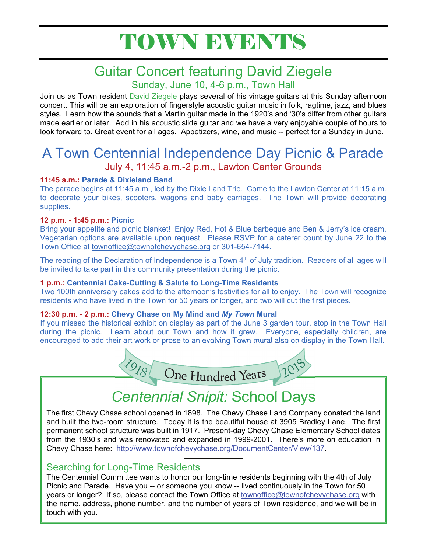## TOWN EVENTS

## Guitar Concert featuring David Ziegele

Sunday, June 10, 4-6 p.m., Town Hall

Join us as Town resident David Ziegele plays several of his vintage guitars at this Sunday afternoon concert. This will be an exploration of fingerstyle acoustic guitar music in folk, ragtime, jazz, and blues styles. Learn how the sounds that a Martin guitar made in the 1920's and '30's differ from other guitars made earlier or later. Add in his acoustic slide guitar and we have a very enjoyable couple of hours to look forward to. Great event for all ages. Appetizers, wine, and music -- perfect for a Sunday in June.

## A Town Centennial Independence Day Picnic & Parade July 4, 11:45 a.m.-2 p.m., Lawton Center Grounds

#### **11:45 a.m.: Parade & Dixieland Band**

The parade begins at 11:45 a.m., led by the Dixie Land Trio. Come to the Lawton Center at 11:15 a.m. to decorate your bikes, scooters, wagons and baby carriages. The Town will provide decorating supplies.

#### **12 p.m. - 1:45 p.m.: Picnic**

Bring your appetite and picnic blanket! Enjoy Red, Hot & Blue barbeque and Ben & Jerry's ice cream. Vegetarian options are available upon request. Please RSVP for a caterer count by June 22 to the Town Office at townoffice@townofchevychase.org or 301-654-7144.

The reading of the Declaration of Independence is a Town  $4<sup>th</sup>$  of July tradition. Readers of all ages will be invited to take part in this community presentation during the picnic.

#### **1 p.m.: Centennial Cake-Cutting & Salute to Long-Time Residents**

Two 100th anniversary cakes add to the afternoon's festivities for all to enjoy. The Town will recognize residents who have lived in the Town for 50 years or longer, and two will cut the first pieces.

#### **12:30 p.m. - 2 p.m.: Chevy Chase on My Mind and** *My Town* **Mural**

If you missed the historical exhibit on display as part of the June 3 garden tour, stop in the Town Hall during the picnic. Learn about our Town and how it grew. Everyone, especially children, are encouraged to add their art work or prose to an evolving Town mural also on display in the Town Hall.



## *Centennial Snipit:* School Days

The first Chevy Chase school opened in 1898. The Chevy Chase Land Company donated the land and built the two-room structure. Today it is the beautiful house at 3905 Bradley Lane. The first permanent school structure was built in 1917. Present-day Chevy Chase Elementary School dates from the 1930's and was renovated and expanded in 1999-2001. There's more on education in Chevy Chase here: http://www.townofchevychase.org/DocumentCenter/View/137.

#### Searching for Long-Time Residents

The Centennial Committee wants to honor our long-time residents beginning with the 4th of July Picnic and Parade. Have you -- or someone you know -- lived continuously in the Town for 50 years or longer? If so, please contact the Town Office at *townoffice@townofchevychase.org* with the name, address, phone number, and the number of years of Town residence, and we will be in touch with you.